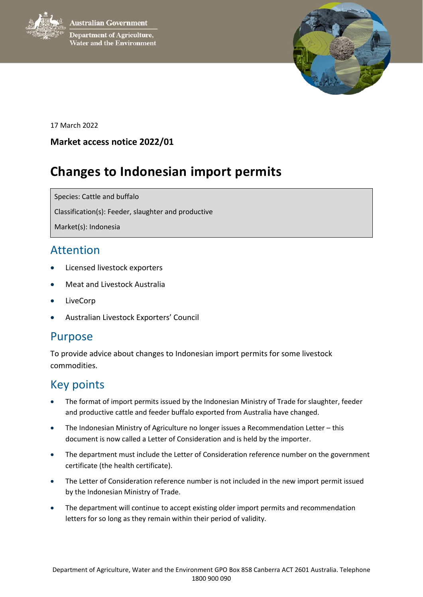**Australian Government** 

**Department of Agriculture,** Water and the Environment



17 March 2022

#### **Market access notice 2022/01**

# **Changes to Indonesian import permits**

Species: Cattle and buffalo

Classification(s): Feeder, slaughter and productive

Market(s): Indonesia

#### Attention

- Licensed livestock exporters
- Meat and Livestock Australia
- LiveCorp
- Australian Livestock Exporters' Council

### Purpose

To provide advice about changes to Indonesian import permits for some livestock commodities.

## Key points

- The format of import permits issued by the Indonesian Ministry of Trade for slaughter, feeder and productive cattle and feeder buffalo exported from Australia have changed.
- The Indonesian Ministry of Agriculture no longer issues a Recommendation Letter this document is now called a Letter of Consideration and is held by the importer.
- The department must include the Letter of Consideration reference number on the government certificate (the health certificate).
- The Letter of Consideration reference number is not included in the new import permit issued by the Indonesian Ministry of Trade.
- The department will continue to accept existing older import permits and recommendation letters for so long as they remain within their period of validity.